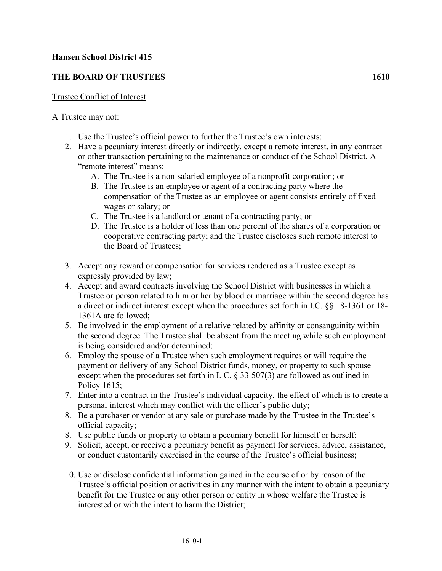## **Hansen School District 415**

## **THE BOARD OF TRUSTEES 1610**

## Trustee Conflict of Interest

## A Trustee may not:

- 1. Use the Trustee's official power to further the Trustee's own interests;
- 2. Have a pecuniary interest directly or indirectly, except a remote interest, in any contract or other transaction pertaining to the maintenance or conduct of the School District. A "remote interest" means:
	- A. The Trustee is a non-salaried employee of a nonprofit corporation; or
	- B. The Trustee is an employee or agent of a contracting party where the compensation of the Trustee as an employee or agent consists entirely of fixed wages or salary; or
	- C. The Trustee is a landlord or tenant of a contracting party; or
	- D. The Trustee is a holder of less than one percent of the shares of a corporation or cooperative contracting party; and the Trustee discloses such remote interest to the Board of Trustees;
- 3. Accept any reward or compensation for services rendered as a Trustee except as expressly provided by law;
- 4. Accept and award contracts involving the School District with businesses in which a Trustee or person related to him or her by blood or marriage within the second degree has a direct or indirect interest except when the procedures set forth in I.C. §§ 18-1361 or 18- 1361A are followed;
- 5. Be involved in the employment of a relative related by affinity or consanguinity within the second degree. The Trustee shall be absent from the meeting while such employment is being considered and/or determined;
- 6. Employ the spouse of a Trustee when such employment requires or will require the payment or delivery of any School District funds, money, or property to such spouse except when the procedures set forth in I. C. § 33-507(3) are followed as outlined in Policy 1615;
- 7. Enter into a contract in the Trustee's individual capacity, the effect of which is to create a personal interest which may conflict with the officer's public duty;
- 8. Be a purchaser or vendor at any sale or purchase made by the Trustee in the Trustee's official capacity;
- 8. Use public funds or property to obtain a pecuniary benefit for himself or herself;
- 9. Solicit, accept, or receive a pecuniary benefit as payment for services, advice, assistance, or conduct customarily exercised in the course of the Trustee's official business;
- 10. Use or disclose confidential information gained in the course of or by reason of the Trustee's official position or activities in any manner with the intent to obtain a pecuniary benefit for the Trustee or any other person or entity in whose welfare the Trustee is interested or with the intent to harm the District;